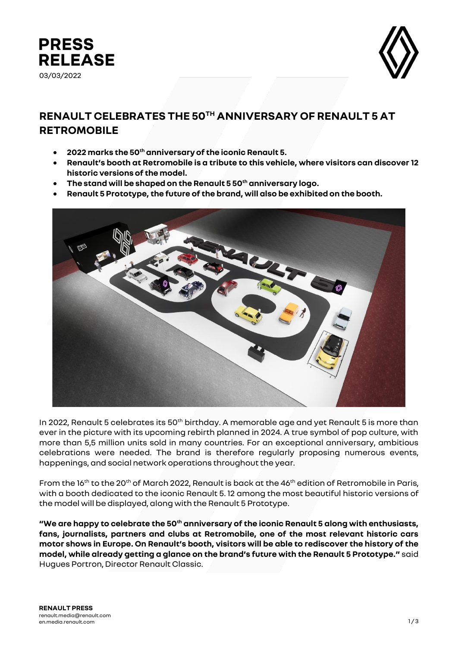



## **RENAULT CELEBRATES THE 50TH ANNIVERSARY OF RENAULT 5 AT RETROMOBILE**

- **2022 marks the 50th anniversary of the iconic Renault 5.**
- **Renault's booth at Retromobile is a tribute to this vehicle, where visitors can discover 12 historic versions of the model.**
- **The stand will be shaped on the Renault 5 50th anniversary logo.**
- **Renault 5 Prototype, the future of the brand, will also be exhibited on the booth.**



In 2022, Renault 5 celebrates its 50<sup>th</sup> birthday. A memorable age and yet Renault 5 is more than ever in the picture with its upcoming rebirth planned in 2024. A true symbol of pop culture, with more than 5,5 million units sold in many countries. For an exceptional anniversary, ambitious celebrations were needed. The brand is therefore regularly proposing numerous events, happenings, and social network operations throughout the year.

From the 16<sup>th</sup> to the 20<sup>th</sup> of March 2022, Renault is back at the 46<sup>th</sup> edition of Retromobile in Paris, with a booth dedicated to the iconic Renault 5. 12 among the most beautiful historic versions of the model will be displayed, along with the Renault 5 Prototype.

**"We are happy to celebrate the 50th anniversary of the iconic Renault 5 along with enthusiasts, fans, journalists, partners and clubs at Retromobile, one of the most relevant historic cars motor shows in Europe. On Renault's booth, visitors will be able to rediscover the history of the model, while already getting a glance on the brand's future with the Renault 5 Prototype."** said Hugues Portron, Director Renault Classic.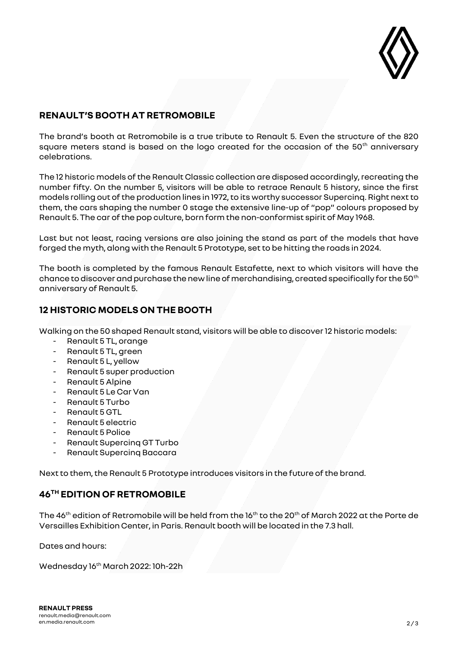

## **RENAULT'S BOOTH AT RETROMOBILE**

The brand's booth at Retromobile is a true tribute to Renault 5. Even the structure of the 820 square meters stand is based on the logo created for the occasion of the 50<sup>th</sup> anniversary celebrations.

The 12 historic models of the Renault Classic collection are disposed accordingly, recreating the number fifty. On the number 5, visitors will be able to retrace Renault 5 history, since the first models rolling out of the production lines in 1972, to its worthy successor Supercinq. Right next to them, the cars shaping the number 0 stage the extensive line-up of "pop" colours proposed by Renault 5. The car of the pop culture, born form the non-conformist spirit of May 1968.

Last but not least, racing versions are also joining the stand as part of the models that have forged the myth, along with the Renault 5 Prototype, set to be hitting the roads in 2024.

The booth is completed by the famous Renault Estafette, next to which visitors will have the chance to discover and purchase the new line of merchandising, created specifically for the 50<sup>th</sup> anniversary of Renault 5.

## **12 HISTORIC MODELS ON THE BOOTH**

Walking on the 50 shaped Renault stand, visitors will be able to discover12 historic models:

- Renault 5 TL, orange
- Renault 5 TL, green
- Renault 5 L, yellow
- Renault 5 super production
- Renault 5 Alpine
- Renault 5 Le Car Van
- Renault 5 Turbo
- Renault 5 GTL
- Renault 5 electric
- Renault 5 Police
- Renault Supercinq GT Turbo
- Renault Supercing Baccara

Next to them, the Renault 5 Prototype introduces visitors in the future of the brand.

## **46TH EDITION OF RETROMOBILE**

The 46<sup>th</sup> edition of Retromobile will be held from the 16<sup>th</sup> to the 20<sup>th</sup> of March 2022 at the Porte de Versailles Exhibition Center, in Paris. Renault booth will be located in the 7.3 hall.

Dates and hours:

Wednesday 16th March 2022: 10h-22h